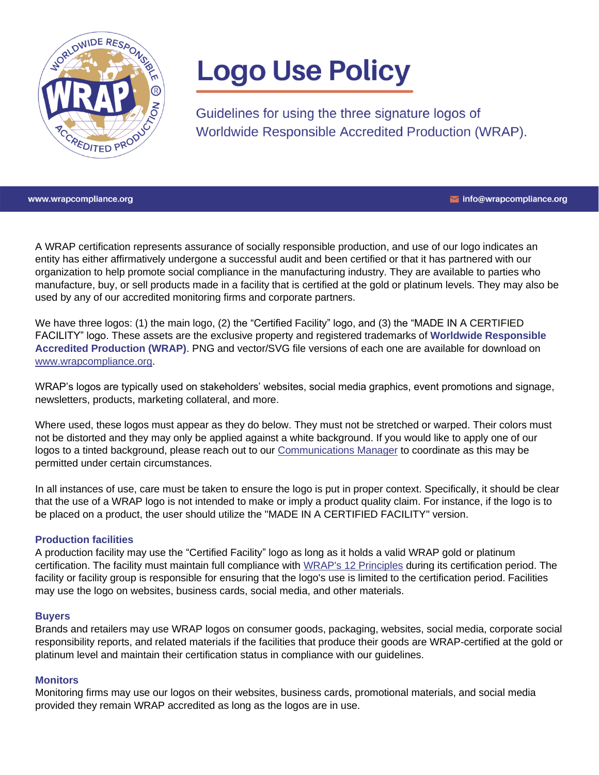

# **Logo Use Policy**

Guidelines for using the three signature logos of Worldwide Responsible Accredited Production (WRAP).

www.wrapcompliance.org

Info@wrapcompliance.org

A WRAP certification represents assurance of socially responsible production, and use of our logo indicates an entity has either affirmatively undergone a successful audit and been certified or that it has partnered with our organization to help promote social compliance in the manufacturing industry. They are available to parties who manufacture, buy, or sell products made in a facility that is certified at the gold or platinum levels. They may also be used by any of our accredited monitoring firms and corporate partners.

We have three logos: (1) the main logo, (2) the "Certified Facility" logo, and (3) the "MADE IN A CERTIFIED FACILITY" logo. These assets are the exclusive property and registered trademarks of **Worldwide Responsible Accredited Production (WRAP)**. PNG and vector/SVG file versions of each one are available for download on [www.wrapcompliance.org.](http://www.wrapcompliance.org/)

WRAP's logos are typically used on stakeholders' websites, social media graphics, event promotions and signage, newsletters, products, marketing collateral, and more.

Where used, these logos must appear as they do below. They must not be stretched or warped. Their colors must not be distorted and they may only be applied against a white background. If you would like to apply one of our logos to a tinted background, please reach out to our [Communications Manager](mailto:hnystrom@wrapcompliance.org) to coordinate as this may be permitted under certain circumstances.

In all instances of use, care must be taken to ensure the logo is put in proper context. Specifically, it should be clear that the use of a WRAP logo is not intended to make or imply a product quality claim. For instance, if the logo is to be placed on a product, the user should utilize the "MADE IN A CERTIFIED FACILITY" version.

### **Production facilities**

A production facility may use the "Certified Facility" logo as long as it holds a valid WRAP gold or platinum certification. The facility must maintain full compliance with [WRAP's 12 Principles](https://wrapcompliance.org/12-principles/) during its certification period. The facility or facility group is responsible for ensuring that the logo's use is limited to the certification period. Facilities may use the logo on websites, business cards, social media, and other materials.

#### **Buyers**

Brands and retailers may use WRAP logos on consumer goods, packaging, websites, social media, corporate social responsibility reports, and related materials if the facilities that produce their goods are WRAP-certified at the gold or platinum level and maintain their certification status in compliance with our guidelines.

#### **Monitors**

Monitoring firms may use our logos on their websites, business cards, promotional materials, and social media provided they remain WRAP accredited as long as the logos are in use.